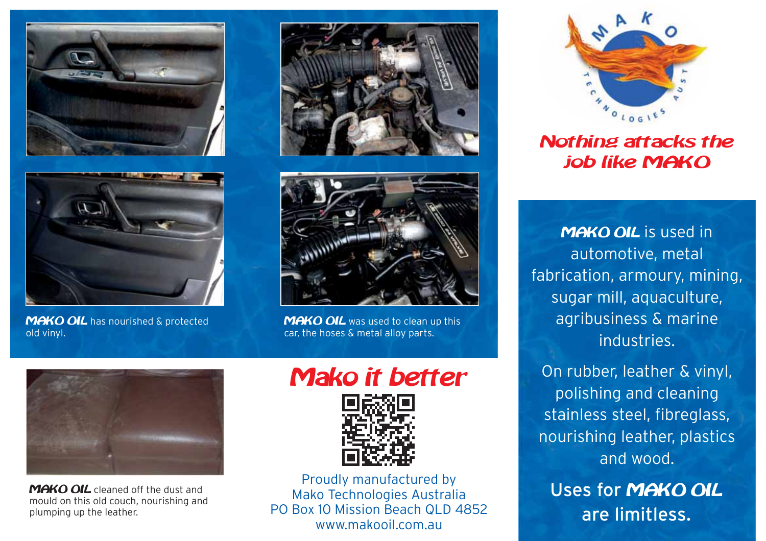



**MAKO OIL** has nourished & protected old vinyl.





**MAKO OIL** was used to clean up this car, the hoses & metal alloy parts.



MAKO OIL cleaned off the dust and mould on this old couch, nourishing and plumping up the leather.

## **Mako it better**



Proudly manufactured by Mako Technologies Australia PO Box 10 Mission Beach QLD 4852 www.makooil.com.au



Nothing attacks the job like MAKO

MAKO OIL is used in automotive, metal fabrication, armoury, mining, sugar mill, aquaculture, agribusiness & marine industries.

On rubber, leather & vinyl, polishing and cleaning stainless steel, fibreglass, nourishing leather, plastics and wood.

Uses for MAKO OIL are limitless.